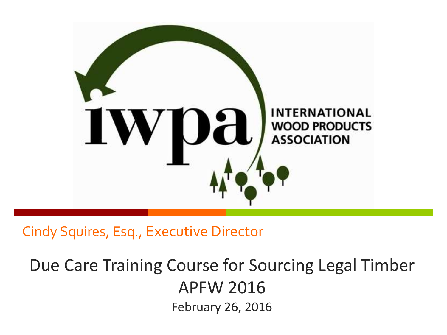

Cindy Squires, Esq., Executive Director

Due Care Training Course for Sourcing Legal Timber APFW 2016 February 26, 2016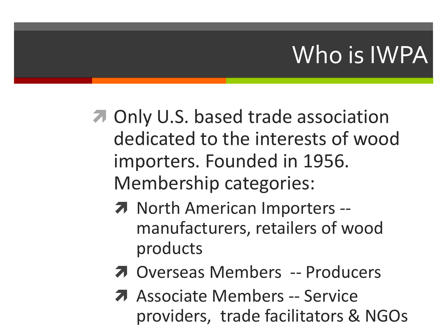## Who is IWPA

- **7** Only U.S. based trade association dedicated to the interests of wood importers. Founded in 1956. Membership categories:
	- **7** North American Importers -manufacturers, retailers of wood products
	- Overseas Members -- Producers
	- **A** Associate Members -- Service providers, trade facilitators & NGOs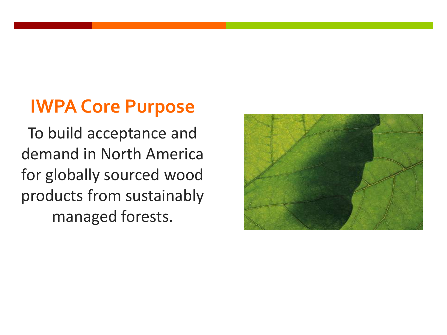#### **IWPA Core Purpose**

To build acceptance and demand in North America for globally sourced wood products from sustainably managed forests.

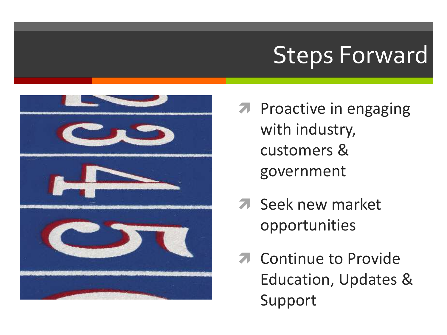## Steps Forward



- **7** Proactive in engaging with industry, customers & government
- **7** Seek new market opportunities
- **7** Continue to Provide Education, Updates & Support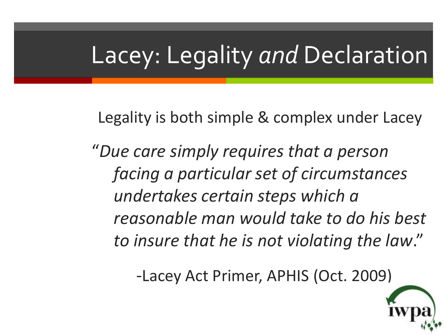## Lacey: Legality *and* Declaration

Legality is both simple & complex under Lacey

"*Due care simply requires that a person facing a particular set of circumstances undertakes certain steps which a reasonable man would take to do his best to insure that he is not violating the law*."

-Lacey Act Primer, APHIS (Oct. 2009)

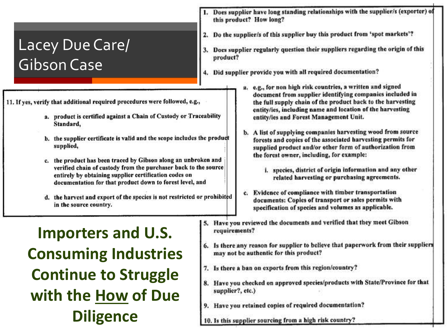#### Lacey Due Care/ Gibson Case

- 11. If yes, verify that additional required procedures were followed, e.g.,
	- a. product is certified against a Chain of Custody or Traceability Standard,
	- b. the supplier certificate is valid and the scope includes the product supplied,
	- c. the product has been traced by Gibson along an unbroken and verified chain of custody from the purchaser back to the source entirely by obtaining supplier certification codes on documentation for that product down to forest level, and
	- d. the harvest and export of the species is not restricted or prohibited in the source country.

**Importers and U.S. Consuming Industries Continue to Struggle with the How of Due Diligence**

- Does supplier have long standing relationships with the supplier/s (exporter) of this product? How long?
- 2. Do the supplier/s of this supplier buy this product from 'spot markets'?
- 3. Does supplier regularly question their suppliers regarding the origin of this product?
- 4. Did supplier provide you with all required documentation?
	- e.g., for non high risk countries, a written and signed document from supplier identifying companies included in the full supply chain of the product back to the harvesting entity/ies, including name and location of the harvesting entity/ies and Forest Management Unit.
	- b. A list of supplying companies harvesting wood from source forests and copies of the associated harvesting permits for supplied product and/or other form of authorization from the forest owner, including, for example:
		- i. species, district of origin information and any other related harvesting or purchasing agreements.
	- c. Evidence of compliance with timber transportation documents: Copies of transport or sales permits with specification of species and volumes as applicable.
- 5. Have you reviewed the documents and verified that they meet Gibson requirements?
- 6. Is there any reason for supplier to believe that paperwork from their suppliers may not be authentic for this product?
- 7. Is there a ban on exports from this region/country?
- 8. Have you checked on approved species/products with State/Province for that supplier?, etc.)
- 9. Have you retained copies of required documentation?
- 10. Is this supplier sourcing from a high risk country?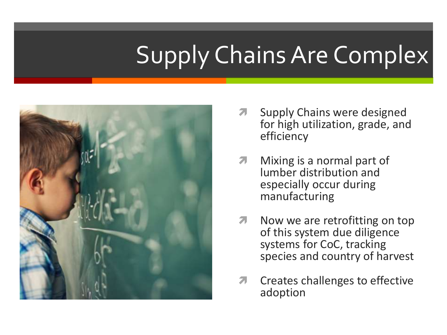## Supply Chains Are Complex



- **A** Supply Chains were designed for high utilization, grade, and efficiency
- **Mixing is a normal part of** lumber distribution and especially occur during manufacturing
- $\lambda$  Now we are retrofitting on top of this system due diligence systems for CoC, tracking species and country of harvest
- **7** Creates challenges to effective adoption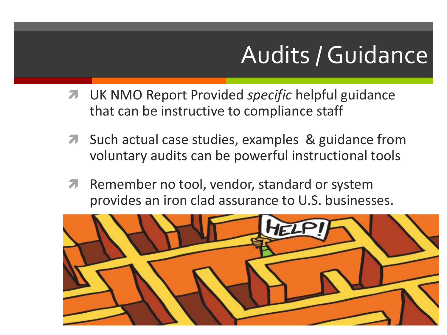## Audits / Guidance

- UK NMO Report Provided *specific* helpful guidance that can be instructive to compliance staff
- **A** Such actual case studies, examples & guidance from voluntary audits can be powerful instructional tools
- **A** Remember no tool, vendor, standard or system provides an iron clad assurance to U.S. businesses.

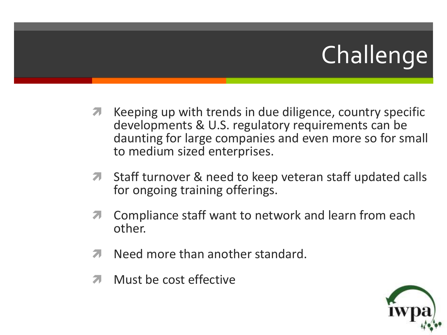# Challenge

- Keeping up with trends in due diligence, country specific developments & U.S. regulatory requirements can be daunting for large companies and even more so for small to medium sized enterprises.
- **T** Staff turnover & need to keep veteran staff updated calls for ongoing training offerings.
- **T** Compliance staff want to network and learn from each other.
- **A** Need more than another standard.
- Must be cost effective

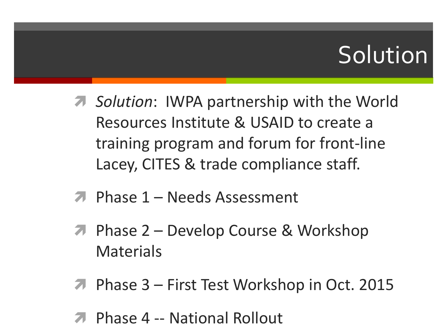## Solution

- *Solution*: IWPA partnership with the World Resources Institute & USAID to create a training program and forum for front-line Lacey, CITES & trade compliance staff.
- **7** Phase 1 Needs Assessment
- **7** Phase 2 Develop Course & Workshop **Materials**
- Phase 3 First Test Workshop in Oct. 2015
- Phase 4 -- National Rollout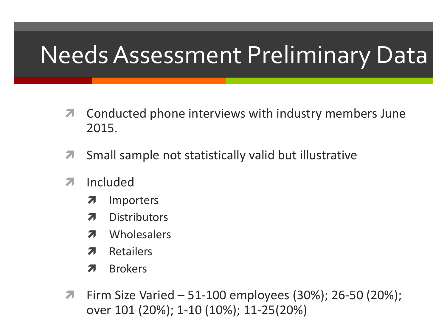## Needs Assessment Preliminary Data

- **T** Conducted phone interviews with industry members June 2015.
- **T** Small sample not statistically valid but illustrative
- **7** Included
	- **7** Importers
	- **7** Distributors
	- **7** Wholesalers
	- **7** Retailers
	- **7** Brokers
- **T** Firm Size Varied 51-100 employees (30%); 26-50 (20%); over 101 (20%); 1-10 (10%); 11-25(20%)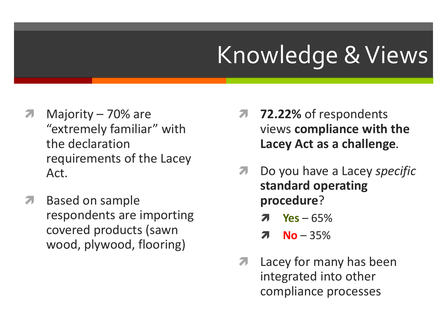## Knowledge & Views

- 7 Majority 70% are "extremely familiar" with the declaration requirements of the Lacey Act.
- **A** Based on sample respondents are importing covered products (sawn wood, plywood, flooring)
- **72.22%** of respondents views **compliance with the Lacey Act as a challenge**.
- Do you have a Lacey *specific* **standard operating procedure**?
	- **Yes** 65%
	- $7$  No 35%
- **A** Lacey for many has been integrated into other compliance processes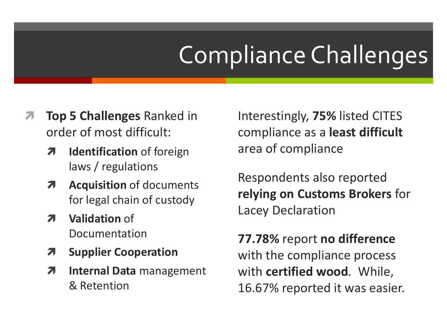# Compliance Challenges

- **Top 5 Challenges** Ranked in order of most difficult:
	- *A* Identification of foreign laws / regulations
	- **A** Acquisition of documents for legal chain of custody
	- **7** Validation of Documentation
	- **Supplier Cooperation**
	- *A* Internal Data management & Retention

Interestingly, **75%** listed CITES compliance as a **least difficult**  area of compliance

Respondents also reported **relying on Customs Brokers** for Lacey Declaration

**77.78%** report **no difference**  with the compliance process with **certified wood**. While, 16.67% reported it was easier.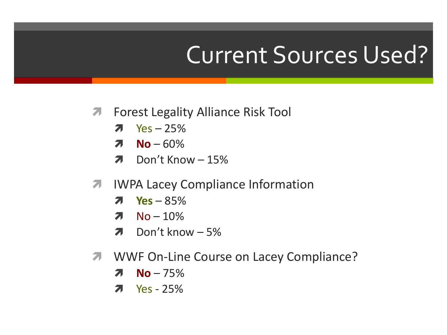#### Current Sources Used?

- **A** Forest Legality Alliance Risk Tool
	- $7$  Yes 25%
	- $\n **No** 60\%$
	- $\lambda$  Don't Know  $-15\%$
- **7 IWPA Lacey Compliance Information** 
	- **Yes** 85%
	- $7$  No 10%
	- $\lambda$  Don't know 5%
- **7 WWF On-Line Course on Lacey Compliance?** 
	- $7$  No 75%
	- $7$  Yes 25%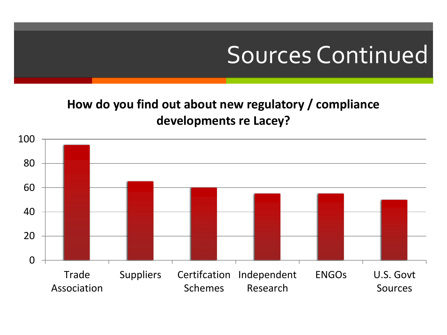#### Sources Continued

#### **How do you find out about new regulatory / compliance developments re Lacey?**

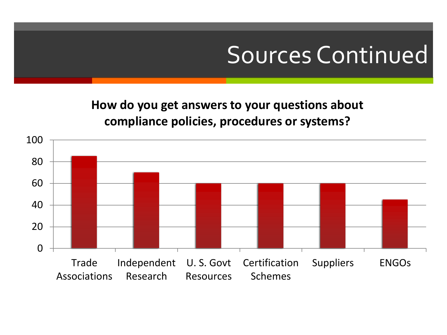#### Sources Continued

**How do you get answers to your questions about compliance policies, procedures or systems?**

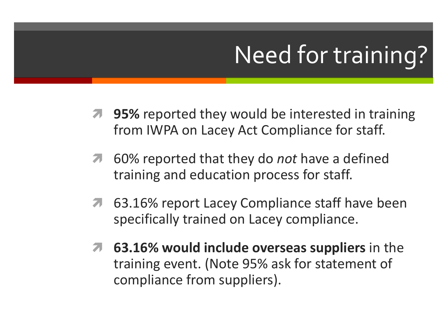# Need for training?

- **7 95%** reported they would be interested in training from IWPA on Lacey Act Compliance for staff.
- 60% reported that they do *not* have a defined training and education process for staff.
- **7** 63.16% report Lacey Compliance staff have been specifically trained on Lacey compliance.
- **63.16% would include overseas suppliers** in the training event. (Note 95% ask for statement of compliance from suppliers).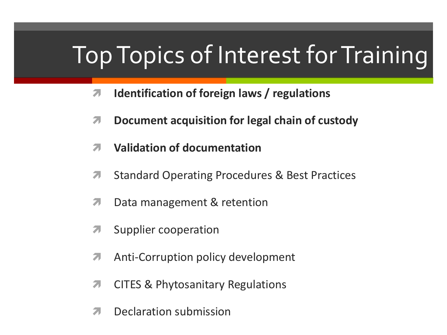## Top Topics of Interest for Training

- **Identification of foreign laws / regulations**
- $\sqrt{ }$  Document acquisition for legal chain of custody
- **Validation of documentation**
- **T** Standard Operating Procedures & Best Practices
- **7** Data management & retention
- **A** Supplier cooperation
- **A** Anti-Corruption policy development
- **T** CITES & Phytosanitary Regulations
- **7** Declaration submission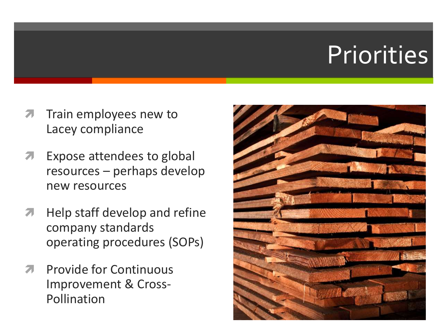# **Priorities**

- **The Train employees new to** Lacey compliance
- **A** Expose attendees to global resources – perhaps develop new resources
- **A** Help staff develop and refine company standards operating procedures (SOPs)
- **A** Provide for Continuous Improvement & Cross-Pollination

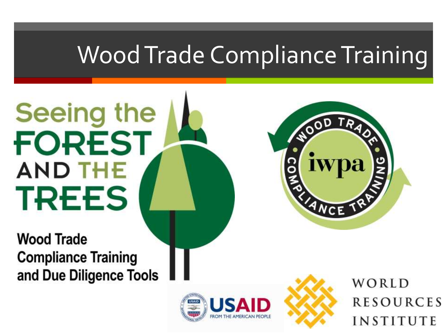## Wood Trade Compliance Training

**Seeing the FOREST AND THE TREES** 

**Wood Trade Compliance Training** and Due Diligence Tools





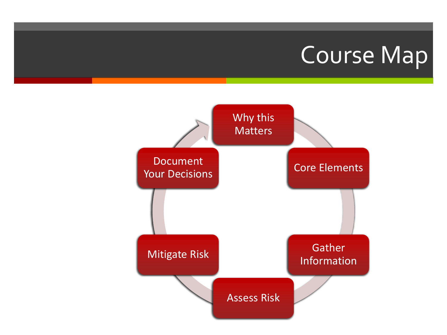#### Course Map

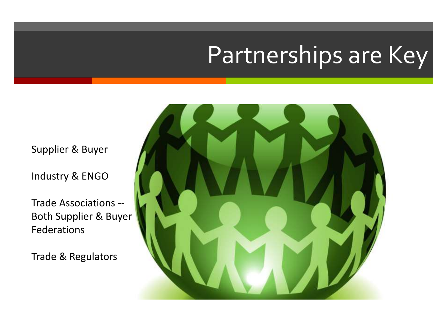#### Partnerships are Key

Supplier & Buyer

Industry & ENGO

Trade Associations -- Both Supplier & Buyer Federations

Trade & Regulators